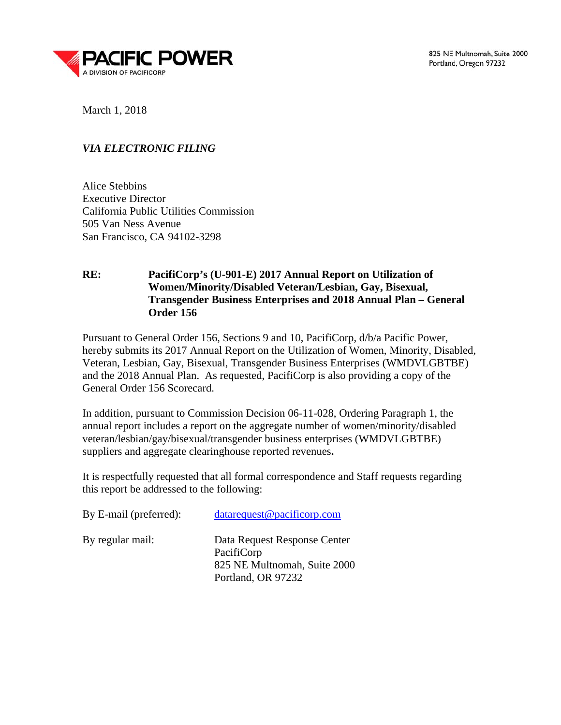

March 1, 2018

# *VIA ELECTRONIC FILING*

Alice Stebbins Executive Director California Public Utilities Commission 505 Van Ness Avenue San Francisco, CA 94102-3298

# **RE: PacifiCorp's (U-901-E) 2017 Annual Report on Utilization of Women/Minority/Disabled Veteran/Lesbian, Gay, Bisexual, Transgender Business Enterprises and 2018 Annual Plan – General Order 156**

Pursuant to General Order 156, Sections 9 and 10, PacifiCorp, d/b/a Pacific Power, hereby submits its 2017 Annual Report on the Utilization of Women, Minority, Disabled, Veteran, Lesbian, Gay, Bisexual, Transgender Business Enterprises (WMDVLGBTBE) and the 2018 Annual Plan. As requested, PacifiCorp is also providing a copy of the General Order 156 Scorecard.

In addition, pursuant to Commission Decision 06-11-028, Ordering Paragraph 1, the annual report includes a report on the aggregate number of women/minority/disabled veteran/lesbian/gay/bisexual/transgender business enterprises (WMDVLGBTBE) suppliers and aggregate clearinghouse reported revenues**.**

It is respectfully requested that all formal correspondence and Staff requests regarding this report be addressed to the following:

| By E-mail (preferred): | datarequest@pacificorp.com                                                                       |
|------------------------|--------------------------------------------------------------------------------------------------|
| By regular mail:       | Data Request Response Center<br>PacifiCorp<br>825 NE Multnomah, Suite 2000<br>Portland, OR 97232 |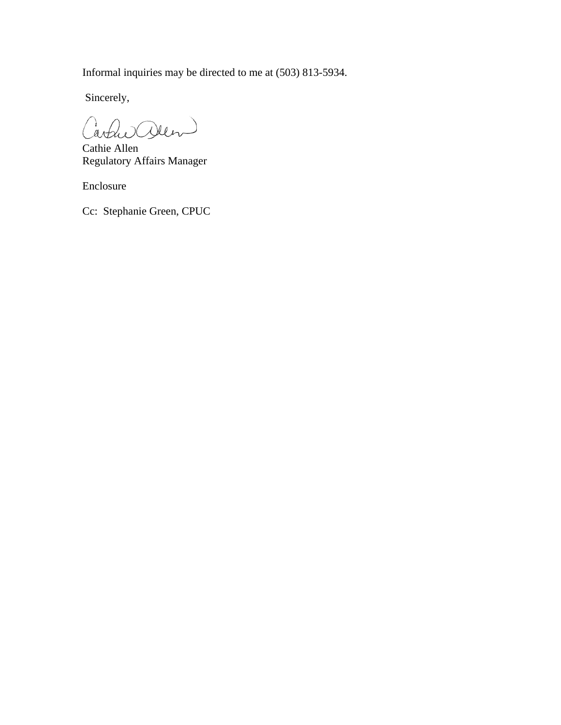Informal inquiries may be directed to me at (503) 813-5934.

Sincerely,

Carles alen

Cathie Allen Regulatory Affairs Manager

Enclosure

Cc: Stephanie Green, CPUC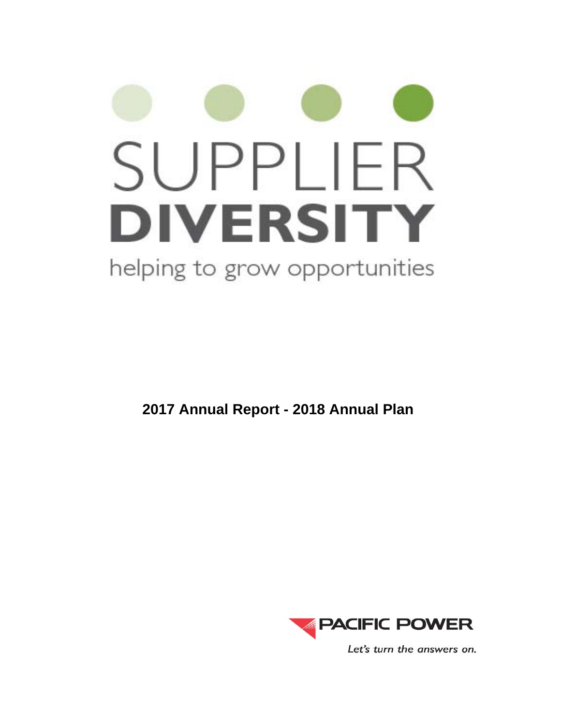# SUPPLIER **DIVERSITY** helping to grow opportunities

**2017 Annual Report - 2018 Annual Plan**

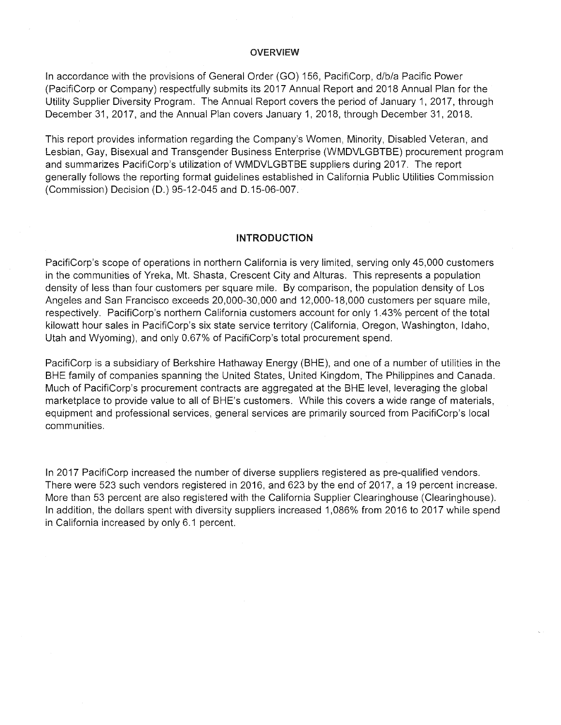### **OVERVIEW**

In accordance with the provisions of General Order (GO) 156, PacifiCorp, d/b/a Pacific Power (PacifiCorp or Company) respectfully submits its 2017 Annual Report and 2018 Annual Plan for the Utility Supplier Diversity Program. The Annual Report covers the period of January 1, 2017, through December 31, 2017, and the Annual Plan covers January 1, 2018, through December 31, 2018.

This report provides information regarding the Company's Women, Minority, Disabled Veteran, and Lesbian, Gay, Bisexual and Transgender Business Enterprise (WMDVLGBTBE) procurement program and summarizes PacifiCorp's utilization of WMDVLGBTBE suppliers during 2017. The report generally follows the reporting format guidelines established in California Public Utilities Commission (Commission) Decision (D.) 95-12-045 and D.15-06-007.

### INTRODUCTION

PacifiCorp's scope of operations in northern California is very limited, serving only 45,000 customers in the communities of Yreka, Mt. Shasta, Crescent City and Alturas. This represents a population density of less than four customers per square mile. By comparison, the population density of Los Angeles and San Francisco exceeds 20,000-30,000 and 12,000-18,000 customers per square mile, respectively. PacifiCorp's northern California customers account for only 1.43% percent of the total kilowatt hour sales in PacifiCorp's six state service territory (California, Oregon, Washington, Idaho, Utah and Wyoming), and only 0.67% of PacifiCorp's total procurement spend.

PacifiCorp is a subsidiary of Berkshire Hathaway Energy (BHE), and one of a number of utilities in the BHE family of companies spanning the United States, United Kingdom, The Philippines and Canada. Much of PacifiCorp's procurement contracts are aggregated at the BHE level, leveraging the global marketplace to provide value to all of BHE's customers. While this covers a wide range of materials, equipment and professional services, general services are primarily sourced from PacifiCorp's local communities.

In 2017 PacifiCorp increased the number of diverse suppliers registered as pre-qualified vendors. There were 523 such vendors registered in 2016, and 623 by the end of 2017, a 19 percent increase. More than 53 percent are also registered with the California Supplier Clearinghouse (Clearinghouse). In addition, the dollars spent with diversity suppliers increased 1,086% from 2016 to 2017 while spend in California increased by only 6.1 percent.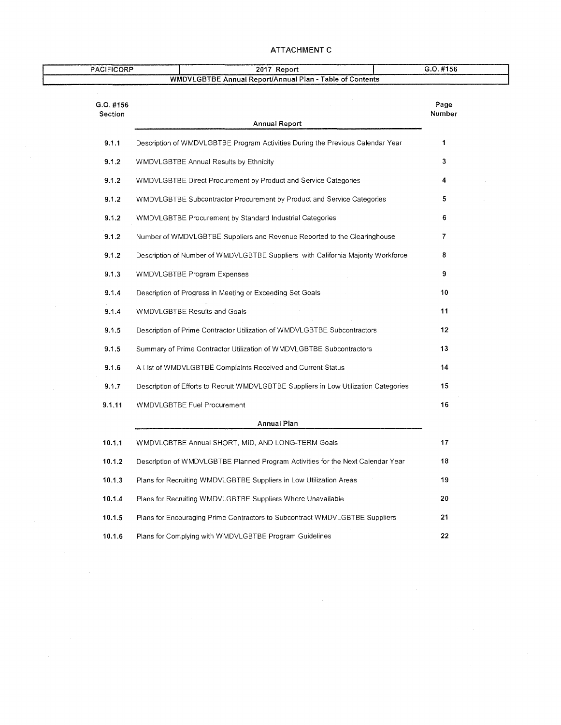### ATTACHMENT C

| <b>PACIFICORP</b>      | 2017 Report                                                                          | G.O. #156       |  |
|------------------------|--------------------------------------------------------------------------------------|-----------------|--|
|                        | WMDVLGBTBE Annual Report/Annual Plan - Table of Contents                             |                 |  |
| $G.O.$ #156<br>Section |                                                                                      | Page<br>Number  |  |
|                        | <b>Annual Report</b>                                                                 |                 |  |
| 9.1.1                  | Description of WMDVLGBTBE Program Activities During the Previous Calendar Year       | $\mathbf{1}$    |  |
| 9.1.2                  | <b>WMDVLGBTBE Annual Results by Ethnicity</b>                                        | 3               |  |
| 9.1.2                  | WMDVLGBTBE Direct Procurement by Product and Service Categories                      | 4               |  |
| 9.1.2                  | WMDVLGBTBE Subcontractor Procurement by Product and Service Categories               | 5.              |  |
| 9.1.2                  | WMDVLGBTBE Procurement by Standard Industrial Categories                             | 6               |  |
| 9.1.2                  | Number of WMDVLGBTBE Suppliers and Revenue Reported to the Clearinghouse             | 7               |  |
| 9.1.2                  | Description of Number of WMDVLGBTBE Suppliers with California Majority Workforce     | 8               |  |
| 9.1.3                  | <b>WMDVLGBTBE Program Expenses</b>                                                   | 9               |  |
| 9.1.4                  | Description of Progress in Meeting or Exceeding Set Goals                            | 10              |  |
| 9.1.4                  | WMDVLGBTBE Results and Goals                                                         | 11              |  |
| 9.1.5                  | Description of Prime Contractor Utilization of WMDVLGBTBE Subcontractors             | 12 <sub>2</sub> |  |
| 9.1.5                  | Summary of Prime Contractor Utilization of WMDVLGBTBE Subcontractors                 | 13              |  |
| 9.1.6                  | A List of WMDVLGBTBE Complaints Received and Current Status                          | 14              |  |
| 9.1.7                  | Description of Efforts to Recruit WMDVLGBTBE Suppliers in Low Utilization Categories | 15              |  |
| 9.1.11                 | WMDVLGBTBE Fuel Procurement                                                          | 16              |  |
|                        | Annual Plan                                                                          |                 |  |
| 10.1.1                 | WMDVLGBTBE Annual SHORT, MID, AND LONG-TERM Goals                                    | 17              |  |
| 10.1.2                 | Description of WMDVLGBTBE Planned Program Activities for the Next Calendar Year      | 18              |  |
| 10.1.3                 | Plans for Recruiting WMDVLGBTBE Suppliers in Low Utilization Areas                   | 19              |  |
| 10.1.4                 | Plans for Recruiting WMDVLGBTBE Suppliers Where Unavailable                          | 20              |  |
| 10.1.5                 | Plans for Encouraging Prime Contractors to Subcontract WMDVLGBTBE Suppliers          | 21              |  |
| 10.1.6                 | Plans for Complying with WMDVLGBTBE Program Guidelines                               | 22              |  |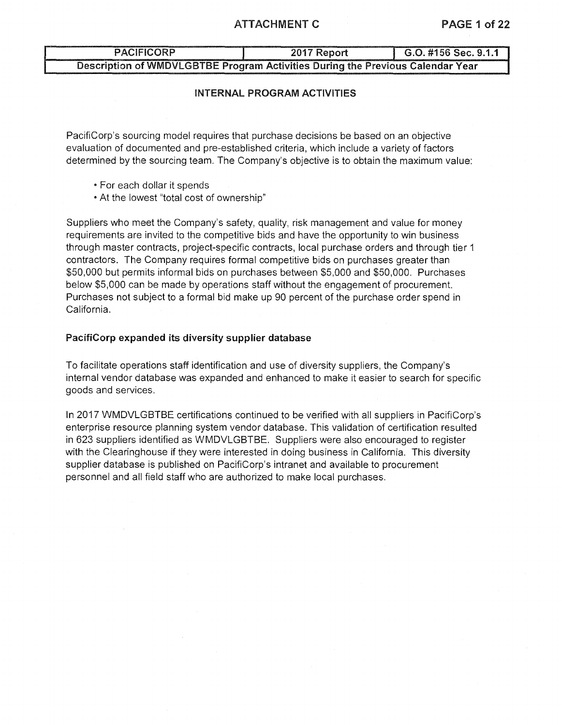### ATTACHMENT C PAGE 1 of 22

# PACIFICORP 2017 Report G.O. #156 Sec. 9.1.1 Description of WMDVLGBTBE Program Activities During the Previous Calendar Year

### INTERNAL PROGRAM ACTIVITIES

PacifiCorp's sourcing model requires that purchase decisions be based on an objective evaluation of documented and pre-established criteria, which include a variety of factors determined by the sourcing team. The Company's objective is to obtain the maximum value:

- For each dollar it spends
- At the lowest "total cost of ownership"

Suppliers who meet the Company's safety, quality, risk management and value for money requirements are invited to the competitive bids and have the opportunity to win business through master contracts, project-specific contracts, local purchase orders and through tier 1 contractors. The Company requires formal competitive bids on purchases greater than \$50,000 but permits informal bids on purchases between \$5,000 and \$50,000. Purchases below \$5,000 can be made by operations staff without the engagement of procurement. Purchases not subject to a formal bid make up 90 percent of the purchase order spend in California.

### PacifiCorp expanded its diversity supplier database

To facilitate operations staff identification and use of diversity suppliers, the Company's internal vendor database was expanded and enhanced to make it easier to search for specific goods and services.

In 2017 WMDVLGBTBE certifications continued to be verified with all suppliers in PacifiCorp's enterprise resource planning system vendor database. This validation of certification resulted in 623 suppliers identified as WMDVLGBTBE. Suppliers were also encouraged to register with the Clearinghouse if they were interested in doing business in California. This diversity supplier database is published on PacifiCorp's intranet and available to procurement personnel and all field staff who are authorized to make local purchases.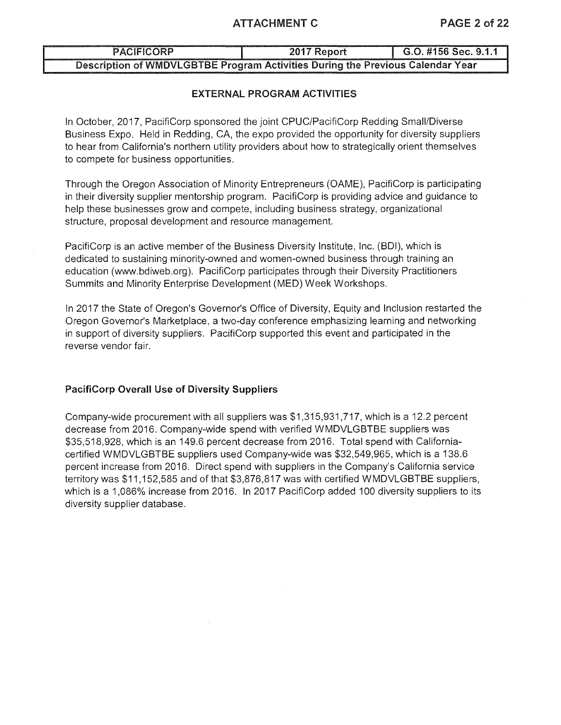### ATTACHMENT C PAGE 2 of 22

# PACIFICORP 2017 Report G.O. #156 Sec. 9.1.1 Description of WMDVLGBTBE Program Activities During the Previous Calendar Year

### EXTERNAL PROGRAM ACTIVITIES

In October, 2017, PacifiCorp sponsored the joint CPUC/PacifiCorp Redding Small/Diverse Business Expo. Held in Redding, CA, the expo provided the opportunity for diversity suppliers to hear from California's northern utility providers about how to strategically orient themselves to compete for business opportunities.

Through the Oregon Association of Minority Entrepreneurs (OAME), PacifiCorp is participating in their diversity supplier mentorship program. PacifiCorp is providing advice and guidance to help these businesses grow and compete, including business strategy, organizational structure, proposal development and resource management.

PacifiCorp is an active member of the Business Diversity Institute, Inc. (BDI), which is dedicated to sustaining minority-owned and women-owned business through training an education (www.bdiweb.org). PacifiCorp participates through their Diversity Practitioners Summits and Minority Enterprise Development (MED) Week Workshops.

In 2017 the State of Oregon's Governor's Office of Diversity, Equity and Inclusion restarted the Oregon Governor's Marketplace, a two-day conference emphasizing learning and networking in support of diversity suppliers. PacifiCorp supported this event and participated in the reverse vendor fair.

### PacifiCorp Overall Use of Diversity Suppliers

Company-wide procurement with all suppliers was \$1,315,931,717, which is a 12.2 percent decrease from 2016. Company-wide spend with verified WMDVLGBTBE suppliers was \$35,518,928, which is an 149.6 percent decrease from 2016. Total spend with Californiacertified WMDVLGBTBE suppliers used Company-wide was \$32,549,965, which is a 138.6 percent increase from 2016. Direct spend with suppliers in the Company's California service territory was \$11, 152,585 and of that \$3,876,817 was with certified WMDVLGBTBE suppliers, which is a 1,086% increase from 2016. In 2017 PacifiCorp added 100 diversity suppliers to its diversity supplier database.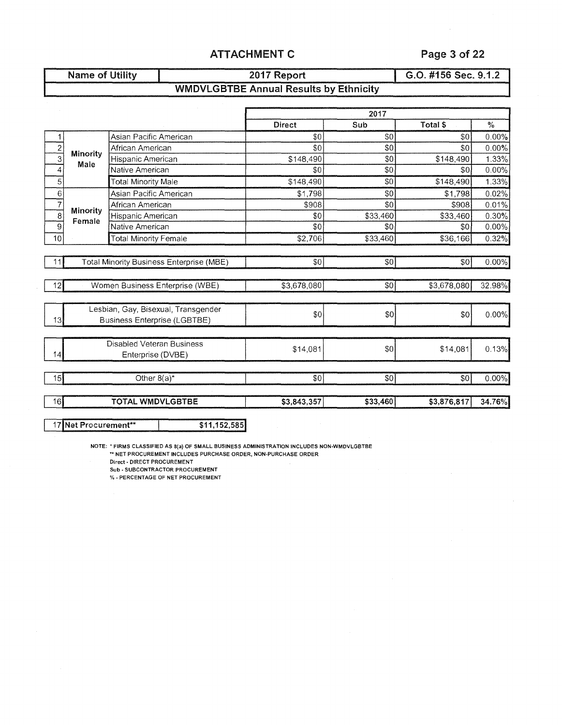# ATTACHMENT C Page 3 of 22

|                           | Name of Utility |                                     |                                          | 2017 Report                                   |                | G.O. #156 Sec. 9.1.2 |          |  |  |
|---------------------------|-----------------|-------------------------------------|------------------------------------------|-----------------------------------------------|----------------|----------------------|----------|--|--|
|                           |                 |                                     |                                          | <b>WMDVLGBTBE Annual Results by Ethnicity</b> |                |                      |          |  |  |
|                           |                 |                                     |                                          |                                               |                |                      |          |  |  |
|                           |                 |                                     |                                          |                                               | 2017           |                      |          |  |  |
|                           |                 |                                     |                                          | <b>Direct</b>                                 | Sub            | Total \$             | $\%$     |  |  |
| 1                         |                 | Asian Pacific American              |                                          | \$0                                           | \$0            | \$0                  | $0.00\%$ |  |  |
| $\overline{2}$            | <b>Minority</b> | African American                    |                                          | \$0                                           | \$0            | \$0                  | 0.00%    |  |  |
| $\overline{\overline{3}}$ | Male            | Hispanic American                   |                                          | \$148,490                                     | \$0            | \$148,490            | 1.33%    |  |  |
| 4                         |                 | Native American                     |                                          | \$0                                           | \$0            | \$0                  | 0.00%    |  |  |
| $\overline{5}$            |                 | <b>Total Minority Male</b>          |                                          | \$148,490                                     | \$0            | \$148.490            | 1.33%    |  |  |
| 6                         |                 | Asian Pacific American              |                                          | \$1,798                                       | \$0            | \$1,798              | 0.02%    |  |  |
| $\overline{7}$            | <b>Minority</b> | African American                    |                                          | \$908                                         | \$0            | \$908                | 0.01%    |  |  |
| $\overline{8}$            | Female          | Hispanic American                   |                                          | \$0                                           | \$33,460       | \$33,460             | 0.30%    |  |  |
| $\overline{9}$            |                 | Native American                     |                                          | \$0                                           | \$0            | \$0                  | 0.00%    |  |  |
| 10                        |                 | <b>Total Minority Female</b>        |                                          | \$2,706                                       | \$33,460       | \$36,166             | 0.32%    |  |  |
|                           |                 |                                     |                                          |                                               |                |                      |          |  |  |
| 11                        |                 |                                     | Total Minority Business Enterprise (MBE) | \$0                                           | \$0            | \$0                  | 0.00%    |  |  |
|                           |                 |                                     |                                          |                                               |                |                      |          |  |  |
| 12                        |                 |                                     | Women Business Enterprise (WBE)          | \$3,678,080                                   | \$0            | \$3,678,080          | 32.98%   |  |  |
|                           |                 |                                     |                                          |                                               |                |                      |          |  |  |
|                           |                 |                                     | Lesbian, Gay, Bisexual, Transgender      | \$0                                           | \$0            | \$0                  | 0.00%    |  |  |
| 13                        |                 | <b>Business Enterprise (LGBTBE)</b> |                                          |                                               |                |                      |          |  |  |
|                           |                 |                                     |                                          |                                               |                |                      |          |  |  |
|                           |                 | Disabled Veteran Business           |                                          | \$14,081                                      | \$0            | \$14,081             | 0.13%    |  |  |
| 14                        |                 | Enterprise (DVBE)                   |                                          |                                               |                |                      |          |  |  |
| 15                        |                 | Other $8(a)^*$                      |                                          | \$0                                           | S <sub>0</sub> | \$0                  | $0.00\%$ |  |  |
|                           |                 |                                     |                                          |                                               |                |                      | 34.76%   |  |  |
| 16                        |                 | <b>TOTAL WMDVLGBTBE</b>             |                                          | \$3,843,357                                   | \$33,460       | \$3,876,817          |          |  |  |

17 Net Procurement\*\* 1 \$11,152,585

NOTE: \*FIRMS CLASSIFIED AS S(a) OF SMALL BUSINESS ADMINISTRATION INCLUDES NON-WMDVLGBTBE \*'NET PROCUREMENT INCLUDES PURCHASE ORDER, NON-PURCHASE ORDER

Direct· DIRECT PROCUREMENT

Sub - SUBCONTRACTOR PROCUREMENT

% ·PERCENTAGE OF NET PROCUREMENT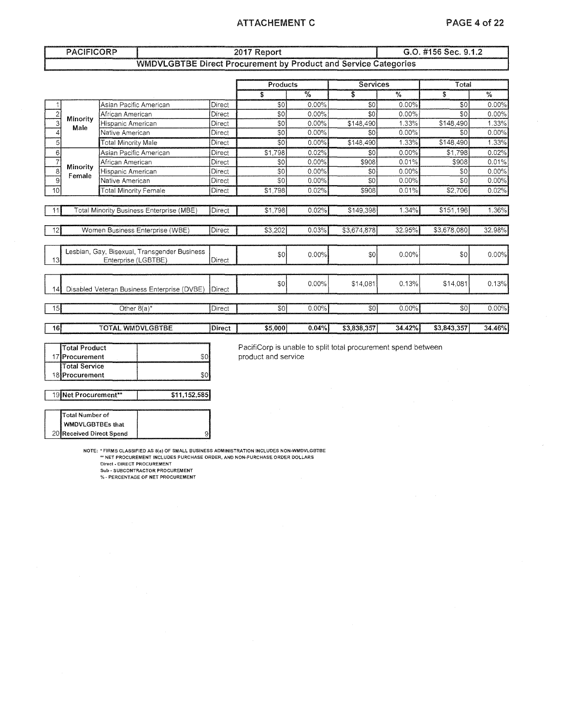### ATTACHEMENT C PAGE 4 of 22

|                  | <b>PACIFICORP</b>                                                   |                                                                      |                                                                        |               | 2017 Report |                 |                 | G.O. #156 Sec. 9.1.2 |             |               |  |  |
|------------------|---------------------------------------------------------------------|----------------------------------------------------------------------|------------------------------------------------------------------------|---------------|-------------|-----------------|-----------------|----------------------|-------------|---------------|--|--|
|                  |                                                                     |                                                                      | <b>WMDVLGBTBE Direct Procurement by Product and Service Categories</b> |               |             |                 |                 |                      |             |               |  |  |
|                  |                                                                     |                                                                      |                                                                        |               | Products    |                 | <b>Services</b> |                      | Total       |               |  |  |
|                  |                                                                     |                                                                      |                                                                        |               | \$          | $\overline{\%}$ | \$              | $\frac{9}{6}$        | \$          | $\frac{0}{6}$ |  |  |
|                  |                                                                     | Asian Pacific American                                               |                                                                        | Direct        | \$0         | 0.00%           | \$0             | 0.00%                | \$0         | 0.00%         |  |  |
| $\overline{c}$   |                                                                     | African American                                                     |                                                                        | Direct        | \$0         | 0.00%           | \$0             | $0.00\%$             | \$0         | $0.00\%$      |  |  |
| 3                | Minority<br>Male                                                    | Hispanic American                                                    |                                                                        | Direct        | \$0         | 0.00%           | \$148,490       | 1.33%                | \$148,490   | 1.33%         |  |  |
| 4                |                                                                     | Native American                                                      |                                                                        | Direct        | \$0         | 0.00%           | \$0             | 0.00%                | \$0         | 0.00%         |  |  |
| 5 <sup>1</sup>   |                                                                     | <b>Total Minority Male</b>                                           |                                                                        | Direct        | \$0         | $0.00\%$        | \$148.490       | 1.33%                | \$148.490   | 1.33%         |  |  |
| $6 \overline{6}$ |                                                                     | Asian Pacific American                                               |                                                                        | Direct        | \$1,798     | 0.02%           | \$0             | 0.00%                | \$1,798     | 0.02%         |  |  |
| $\overline{7}$   |                                                                     | African American                                                     |                                                                        | Direct        | \$0         | 0.00%           | \$908           | 0.01%                | \$908       | 0.01%         |  |  |
| 8                | Minority<br>Female                                                  | Hispanic American<br>Native American<br><b>Total Minority Female</b> |                                                                        | Direct        | \$0         | 0.00%           | \$0             | 0.00%                | \$0         | 0.00%         |  |  |
| 9                |                                                                     |                                                                      |                                                                        | Direct        | \$0         | 0.00%           | \$0             | 0.00%                | \$0         | 0.00%         |  |  |
| 10 <sup>1</sup>  |                                                                     |                                                                      |                                                                        | Direct        | \$1,798     | 0.02%           | \$908           | 0.01%                | \$2,706     | 0.02%         |  |  |
|                  |                                                                     |                                                                      |                                                                        |               |             |                 |                 |                      |             |               |  |  |
| 11               |                                                                     |                                                                      | Total Minority Business Enterprise (MBE)                               | Direct        | \$1,798     | 0.02%           | \$149,398       | 1.34%                | \$151,196   | 1.36%         |  |  |
| 12               |                                                                     |                                                                      | Women Business Enterprise (WBE)                                        | Direct        | \$3,202     | 0.03%           | \$3,674,878     | 32.95%               | \$3,678,080 | 32.98%        |  |  |
| 13               | Lesbian, Gay, Bisexual, Transgender Business<br>Enterprise (LGBTBE) |                                                                      |                                                                        | Direct        | \$0         | 0.00%           | \$0             | 0.00%                | \$0         | 0.00%         |  |  |
| 4                |                                                                     |                                                                      | Disabled Veteran Business Enterprise (DVBE)                            | <b>Direct</b> | \$0         | 0.00%           | \$14,081        | 0.13%                | \$14,081    | 0.13%         |  |  |
| -15I             |                                                                     | Other $8(a)^*$                                                       |                                                                        | Direct        | \$0         | 0.00%           | $\overline{30}$ | 0.00%                | \$0         | 0.00%         |  |  |
| 16               |                                                                     | <b>TOTAL WMDVLGBTBE</b>                                              |                                                                        | Direct        | \$5,000     | 0.04%           | \$3,838,357     | 34.42%               | \$3,843,357 | 34.46%        |  |  |

| <b>Total Product</b>  |  |
|-----------------------|--|
| 17 Procurement        |  |
| <b>ITotal Service</b> |  |
| 18 Procurement        |  |
|                       |  |

PacifiCorp is unable to split total procurement spend between product and service

19 Net Procurement\*\* | \$11,152,585

20 | Received Direct Spend | New York 1991 Total Number of WMDVLGBTBEs that

**NOTE: \*FIRMS CLASSIFIED AS B(a) OF SMALL BUSINESS ADMINISTRATION INCLUDES NON·WMDVLGBTBE ""NET PROCUREMENT INCLUDES PURCHASE ORDER, AND NON-PURCHASE ORDER DOLLARS** 

**Direct· DIRECT PROCUREMENT Sub·SUBCONTRACTORPROCUREMENT**  % **·PERCENTAGE OF NET PROCUREMENT**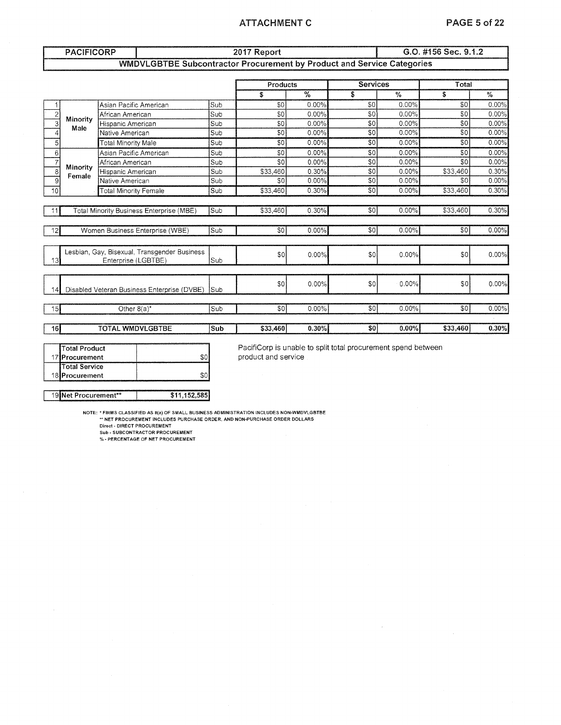### ATTACHMENT C PAGE 5 of 22

|                 | <b>PACIFICORP</b>                           |                                                                               |     | G.O. #156 Sec. 9.1.2<br>2017 Report |          |                 |          |                 |          |  |
|-----------------|---------------------------------------------|-------------------------------------------------------------------------------|-----|-------------------------------------|----------|-----------------|----------|-----------------|----------|--|
|                 |                                             | <b>WMDVLGBTBE Subcontractor Procurement by Product and Service Categories</b> |     |                                     |          |                 |          |                 |          |  |
|                 |                                             |                                                                               |     | Products                            |          | <b>Services</b> |          | Total           |          |  |
|                 |                                             |                                                                               |     | \$                                  | %        | \$              | $\%$     | \$              | %        |  |
|                 |                                             | Asian Pacific American                                                        | Sub | \$0                                 | 0.00%    | \$0             | 0.00%    | \$0             | 0.00%    |  |
| $\overline{2}$  |                                             | African American                                                              | Sub | \$0                                 | $0.00\%$ | \$0             | 0.00%    | \$0             | 0.00%    |  |
| 3               | Minority<br>Male                            | Hispanic American                                                             | Sub | \$0                                 | 0.00%    | \$0             | 0.00%    | \$0             | 0.00%    |  |
| 4               |                                             | Native American                                                               | Sub | \$0                                 | 0.00%    | \$0             | 0.00%    | \$0             | 0.00%    |  |
| 5               |                                             | Total Minority Male                                                           | Sub | \$0                                 | 0.00%    | \$0             | 0.00%    | \$0             | 0.00%    |  |
| 6               |                                             | Asian Pacific American                                                        | Sub | \$0                                 | $0.00\%$ | \$0             | 0.00%    | \$0             | 0.00%    |  |
| $\overline{7}$  |                                             | African American                                                              | Sub | \$0                                 | $0.00\%$ | \$0             | $0.00\%$ | \$0             | 0.00%    |  |
| 8               | Minority                                    | Hispanic American                                                             | Sub | \$33,460                            | 0.30%    | \$0             | 0.00%    | \$33,460        | 0.30%    |  |
| 9               | Female                                      | Native American                                                               |     | \$0                                 | 0.00%    | \$0             | 0.00%    | \$0             | 0.00%    |  |
| 10 <sup>1</sup> |                                             | <b>Total Minority Female</b>                                                  | Sub | \$33,460                            | 0.30%    | SO.             | 0.00%    | \$33,460        | 0.30%    |  |
|                 |                                             |                                                                               |     |                                     |          |                 |          |                 |          |  |
|                 |                                             | <b>Total Minority Business Enterprise (MBE)</b>                               | Sub | \$33,460                            | 0.30%    | \$0             | 0.00%    | \$33,460        | 0.30%    |  |
| 12              |                                             | Women Business Enterprise (WBE)                                               | Sub | SO I                                | 0.00%    | \$0             | 0.00%    | \$0             | $0.00\%$ |  |
|                 |                                             |                                                                               |     |                                     |          |                 |          |                 |          |  |
| 13              |                                             | Lesbian, Gay, Bisexual, Transgender Business<br>Enterprise (LGBTBE)           | Sub | 30                                  | 0.00%    | \$0             | 0.00%    | \$0             | 0.00%    |  |
|                 |                                             |                                                                               |     |                                     |          |                 |          |                 |          |  |
| 14              | Disabled Veteran Business Enterprise (DVBE) |                                                                               | Sub | \$0                                 | 0.00%    | \$0             | 0.00%    | SO <sub>2</sub> | 0.00%    |  |
| 15              |                                             | Other $8(a)^*$                                                                | Sub | \$0                                 | $0.00\%$ | \$0             | 0.00%    | \$0             | $0.00\%$ |  |
|                 |                                             |                                                                               |     |                                     |          |                 |          |                 |          |  |
| 16              |                                             | <b>TOTAL WMDVLGBTBE</b>                                                       | Sub | \$33,460                            | 0.30%    | \$0             | 0.00%    | \$33,460        | 0.30%    |  |
|                 |                                             |                                                                               |     |                                     |          |                 |          |                 |          |  |

| 19 Net Procurement** | \$11,152,585 |
|----------------------|--------------|
| 18 Procurement       |              |
| <b>Total Service</b> |              |
| 17 Procurement       |              |
| Total Product        |              |

PacifiCorp is unable to split total procurement spend between product and service

 $\sim$ 

NOTE: \* FIRMS CLASSIFIED AS 8(a) OF SMALL BUSINESS ADMINISTRATION INCLUDES NON-WMDVLGBTBE<br>\*\* NET PROCUREMENT INCLUDES PURCHASE ORDER, AND NON-PURCHASE ORDER DOLLARS<br>Direct - DIRECT PROCUREMENT<br>Sub - SUBCONTRACTOR PROCUREME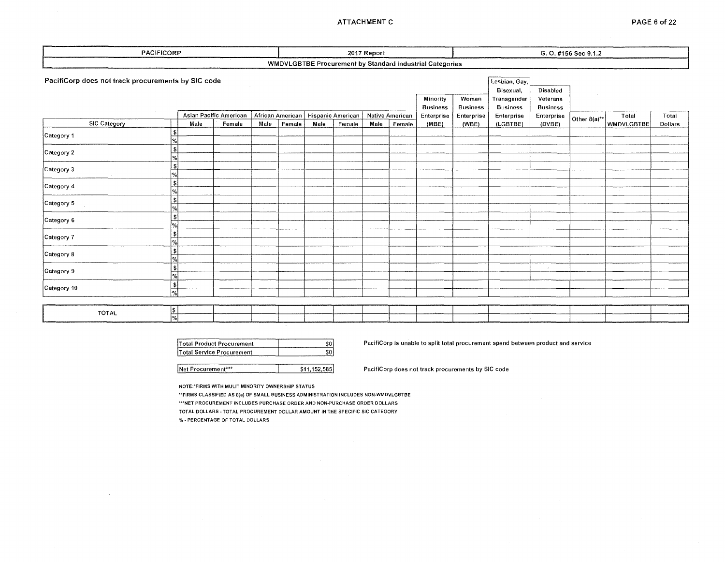### ATTACHMENT C PAGE 6 of 22

| PACIFICORP                                                                                 |      |                        |      |        | 2017 Report |        |      |                 | G. O. #156 Sec 9.1.2                                     |                          |                                                              |                                                |                 |                   |         |
|--------------------------------------------------------------------------------------------|------|------------------------|------|--------|-------------|--------|------|-----------------|----------------------------------------------------------|--------------------------|--------------------------------------------------------------|------------------------------------------------|-----------------|-------------------|---------|
|                                                                                            |      |                        |      |        |             |        |      |                 | WMDVLGBTBE Procurement by Standard Industrial Categories |                          |                                                              |                                                |                 |                   |         |
| PacifiCorp does not track procurements by SIC code<br>African American   Hispanic American |      |                        |      |        |             |        |      |                 | Minority<br><b>Business</b>                              | Women<br><b>Business</b> | Lesbian, Gay,<br>Bisexual,<br>Transgender<br><b>Business</b> | <b>Disabled</b><br>Veterans<br><b>Business</b> | $\sim 10^{-11}$ | <b>Contractor</b> |         |
|                                                                                            |      | Asian Pacific American |      |        |             |        |      | Native American | Enterprise                                               | Enterprise               | Enterprise                                                   | Enterprise                                     | Other 8(a)**    | Total             | Total   |
| <b>SIC Category</b>                                                                        | Male | Female                 | Male | Female | Male        | Female | Male | Female          | (MBE)                                                    | (WBE)                    | (LGBTBE)                                                     | (DVBE)                                         |                 | WMDVLGBTBE        | Dollars |
| Category 1                                                                                 |      |                        |      |        |             |        |      |                 |                                                          |                          |                                                              |                                                |                 |                   |         |
| \$<br>Category 2                                                                           |      |                        |      |        |             |        |      |                 |                                                          |                          |                                                              |                                                |                 |                   |         |
| $\left  \cdot \right $<br>Category 3<br>$\frac{9}{6}$                                      |      |                        |      |        |             |        |      |                 |                                                          |                          |                                                              |                                                |                 |                   |         |
| \$<br>Category 4                                                                           |      |                        |      |        |             |        |      |                 |                                                          |                          |                                                              |                                                |                 |                   |         |
| \$<br>Category 5                                                                           |      |                        |      |        |             |        |      |                 |                                                          |                          |                                                              |                                                |                 |                   |         |
| \$<br>Category 6                                                                           |      |                        |      |        |             |        |      |                 |                                                          |                          |                                                              |                                                |                 |                   |         |
| \$<br>Category 7                                                                           |      |                        |      |        |             |        |      |                 |                                                          |                          |                                                              |                                                |                 |                   |         |
| \$<br>Category 8                                                                           |      |                        |      |        |             |        |      |                 |                                                          |                          |                                                              |                                                |                 |                   |         |
| \$<br>Category 9                                                                           |      |                        |      |        |             |        |      |                 |                                                          |                          |                                                              | $\epsilon$                                     |                 |                   |         |
| \$<br>Category 10<br>$\overline{\mathcal{C}}$                                              |      |                        |      |        |             |        |      |                 |                                                          |                          |                                                              |                                                |                 |                   |         |
|                                                                                            |      |                        |      |        |             |        |      |                 |                                                          |                          |                                                              |                                                |                 |                   |         |
| \$<br><b>TOTAL</b><br>$\overline{\mathbf{a}'}$                                             |      |                        |      |        |             |        |      |                 |                                                          |                          |                                                              |                                                |                 |                   |         |

| Total Product Procurement |  |
|---------------------------|--|
|                           |  |
| Total Service Procurement |  |

PacifiCorp is unable to split total procurement spend between product and service

Net Procurement\*\*\* **12.2.585** PacifiCorp does not track procurements by SIC code

NOTE:•FIRMS WITH MULIT MINORITY OWNERSHIP STATUS

.. FIRMS CLASSIFIED AS S(a) OF SMALL BUSINESS ADMINISTRATION INCLUDES NON-WMDVLGBTBE \*\*\*NET PROCUREMENT INCLUDES PURCHASE ORDER AND NON-PURCHASE ORDER DOLLARS TOTAL DOLLARS· TOTAL PROCUREMENT DOLLAR AMOUNT IN THE SPECIFIC SIC CATEGORY % w **PERCENTAGE OF TOTAL DOLLARS** 

 $\bar{1}$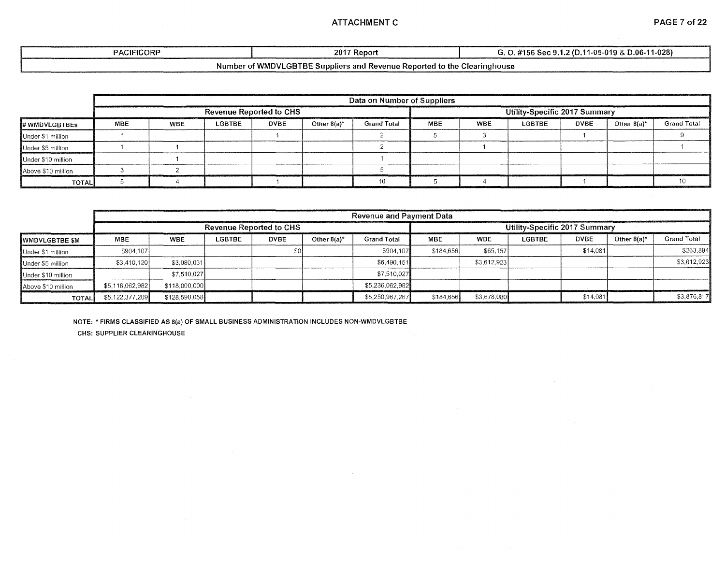### ATTACHMENT C PAGE 7 of 22

| <b>PACIFICORP</b> | 2017 ୮<br>: Repon                    | $D.06 - 11 - 028$<br>.2 (D.11)<br>11-05-019 &<br>- 415.<br>Sar 91 |
|-------------------|--------------------------------------|-------------------------------------------------------------------|
| . .               | $\cdots$<br>$\overline{\phantom{a}}$ | $\sim$                                                            |

### Number of WMDVLGBTBE Suppliers and Revenue Reported to the Clearinghouse

|                    |                                | Data on Number of Suppliers |               |             |                |                    |            |                               |               |             |                |                    |  |  |
|--------------------|--------------------------------|-----------------------------|---------------|-------------|----------------|--------------------|------------|-------------------------------|---------------|-------------|----------------|--------------------|--|--|
|                    | <b>Revenue Reported to CHS</b> |                             |               |             |                |                    |            | Utility-Specific 2017 Summary |               |             |                |                    |  |  |
| # WMDVLGBTBEs      | MBE                            | <b>WBE</b>                  | <b>LGBTBE</b> | <b>DVBE</b> | Other $8(a)^*$ | <b>Grand Total</b> | <b>MBE</b> | <b>WBE</b>                    | <b>LGBTBE</b> | <b>DVBE</b> | Other $8(a)^*$ | <b>Grand Total</b> |  |  |
| Under \$1 million  |                                |                             |               |             |                |                    |            |                               |               |             |                |                    |  |  |
| Under \$5 million  |                                |                             |               |             |                |                    |            |                               |               |             |                |                    |  |  |
| Under \$10 million |                                |                             |               |             |                |                    |            |                               |               |             |                |                    |  |  |
| Above \$10 million |                                |                             |               |             |                |                    |            |                               |               |             |                |                    |  |  |
| <b>TOTAL</b>       |                                |                             |               |             |                |                    |            |                               |               |             |                |                    |  |  |

|                       | <b>Revenue and Payment Data</b> |               |        |                                |             |                               |            |             |        |             |                |                    |  |
|-----------------------|---------------------------------|---------------|--------|--------------------------------|-------------|-------------------------------|------------|-------------|--------|-------------|----------------|--------------------|--|
|                       |                                 |               |        | <b>Revenue Reported to CHS</b> |             | Utility-Specific 2017 Summary |            |             |        |             |                |                    |  |
| <b>WWDVLGBTBE \$M</b> | <b>MBE</b>                      | WBE           | LGBTBE | <b>DVBE</b>                    | Other 8(a)* | <b>Grand Total</b>            | <b>MBE</b> | <b>WBE</b>  | LGBTBE | <b>DVBE</b> | Other $8(a)^*$ | <b>Grand Total</b> |  |
| Under \$1 million     | \$904,107                       |               |        |                                |             | \$904.107                     | \$184.656  | \$65,157    |        | \$14.081    |                | \$263,894          |  |
| Under \$5 million     | \$3,410,120                     | \$3,080,031   |        |                                |             | \$6.490.151                   |            | \$3,612,923 |        |             |                | \$3,612,923        |  |
| Under \$10 million    |                                 | \$7.510.027   |        |                                |             | \$7,510,027                   |            |             |        |             |                |                    |  |
| Above \$10 million    | \$5,118,062,982                 | \$118,000,000 |        |                                |             | \$5,236,062,982               |            |             |        |             |                |                    |  |
| <b>TOTAL</b>          | \$5,122,377,209                 | \$128,590,058 |        |                                |             | \$5,250,967,267               | \$184,656  | \$3,678,080 |        | \$14,081    |                | \$3,876,817        |  |

NOTE: •FIRMS CLASSIFIED AS B(a) OF SMALL BUSINESS ADMINISTRATION INCLUDES NON-WMDVLGBTBE

CHS: SUPPLIER CLEARINGHOUSE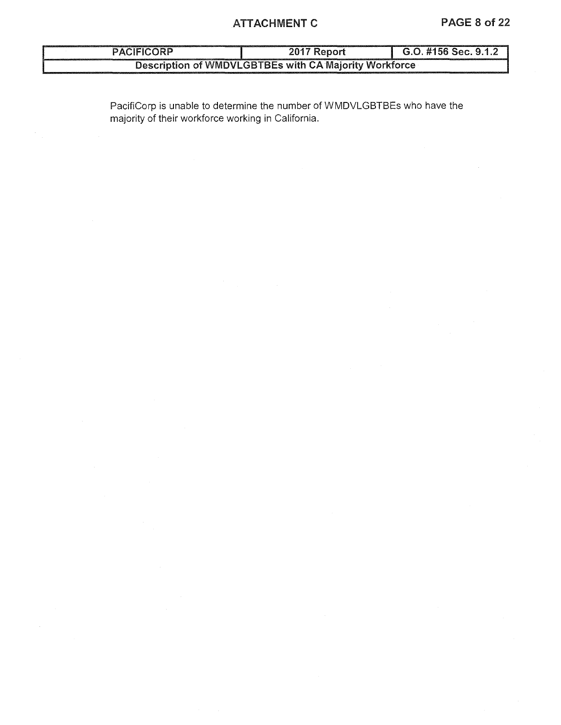# ATTACHMENT C PAGE 8 of 22

| <b>PACIFICORP</b> | 2017 Report                                           | G.O. #156 Sec. 9.1.2 |
|-------------------|-------------------------------------------------------|----------------------|
|                   | Description of WMDVLGBTBEs with CA Majority Workforce |                      |

PacifiCorp is unable to determine the number of WMDVLGBTBEs who have the majority of their workforce working in California.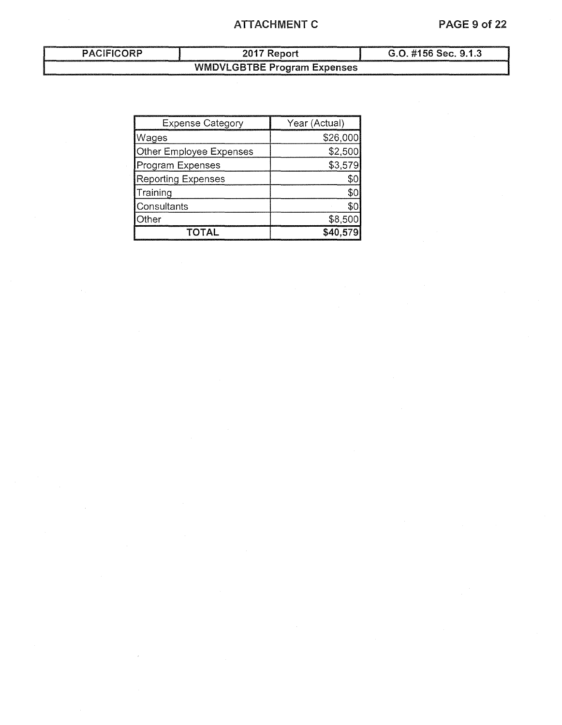# ATTACHMENT C PAGE 9 of 22

# PACIFICORP 2017 Report G.O. #156 Sec. 9.1.3 WMDVLGBTBE Program Expenses

| <b>Expense Category</b>   | Year (Actual) |  |  |  |  |
|---------------------------|---------------|--|--|--|--|
| Wages                     | \$26,000      |  |  |  |  |
| Other Employee Expenses   | \$2,500       |  |  |  |  |
| Program Expenses          | \$3,579       |  |  |  |  |
| <b>Reporting Expenses</b> |               |  |  |  |  |
| Training                  | ፍር            |  |  |  |  |
| Consultants               | SO.           |  |  |  |  |
| Otheri                    | \$8,500       |  |  |  |  |
| ΤΩΤΔΙ                     | \$40.57       |  |  |  |  |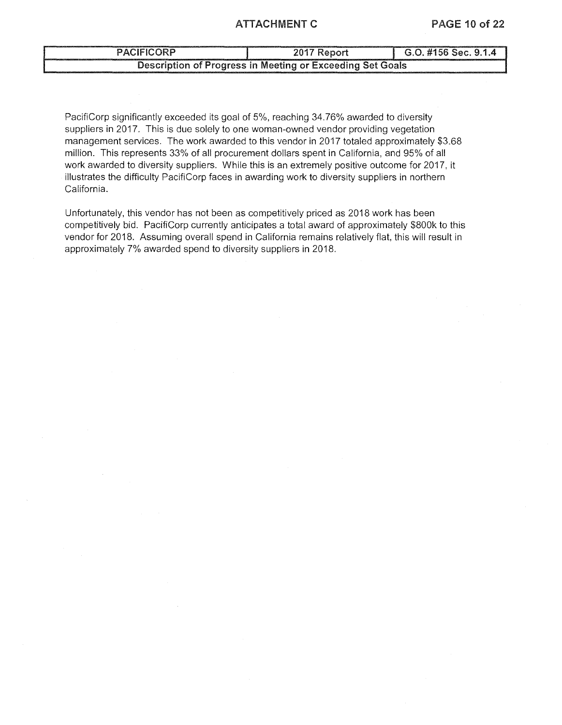### ATTACHMENT C PAGE 10 of 22

# PACIFICORP 2017 Report G.O. #156 Sec. 9.1.4 Description of Progress in Meeting or Exceeding Set Goals

PacifiCorp significantly exceeded its goal of 5%, reaching 34.76% awarded to diversity suppliers in 2017. This is due solely to one woman-owned vendor providing vegetation management services. The work awarded to this vendor in 2017 totaled approximately \$3.68 million. This represents 33% of all procurement dollars spent in California, and 95% of all work awarded to diversity suppliers. While this is an extremely positive outcome for 2017, it illustrates the difficulty PacifiCorp faces in awarding work to diversity suppliers in northern California.

Unfortunately, this vendor has not been as competitively priced as 2018 work has been competitively bid. PacifiCorp currently anticipates a total award of approximately \$800k to this vendor for 2018. Assuming overall spend in California remains relatively flat, this will result in approximately 7% awarded spend to diversity suppliers in 2018.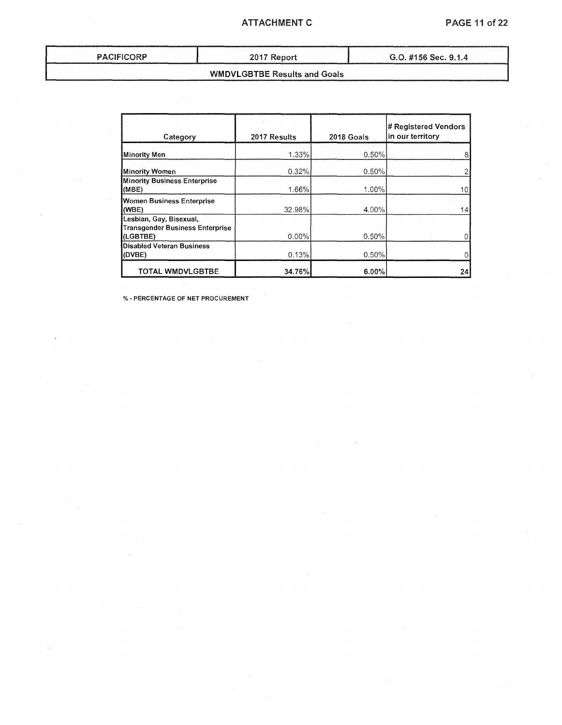### ATTACHMENT C PAGE 11 of 22

| PACIFICORI |  |  |  |  |  |
|------------|--|--|--|--|--|
|------------|--|--|--|--|--|

PACIFICORP 2017 Report G.O. #156 Sec. 9.1.4

# WMDVLGBTBE Results and Goals

|  |  | O. #156 Sec. 9.1.4 |  |
|--|--|--------------------|--|
|  |  |                    |  |

| Category                                                                      | 2017 Results | 2018 Goals | # Registered Vendors<br>in our territory |
|-------------------------------------------------------------------------------|--------------|------------|------------------------------------------|
| <b>Minority Men</b>                                                           | 1.33%        | $-0.50\%$  | 8                                        |
| <b>Minority Women</b>                                                         | 0.32%        | 0.50%      |                                          |
| <b>Minority Business Enterprise</b><br>(MBE)                                  | 1.66%        | 1.00%      | 10 <sup>1</sup>                          |
| Women Business Enterprise<br>(WBE)                                            | 32.98%       | 4.00%      | 14                                       |
| Lesbian, Gay, Bisexual,<br><b>Transgender Business Enterprise</b><br>(LGBTBE) | $0.00\%$     | 0.50%      |                                          |
| <b>Disabled Veteran Business</b><br>(DVBE)                                    | 0.13%        | 0.50%      |                                          |
| <b>TOTAL WMDVLGBTBE</b>                                                       | 34.76%       | 6.00%      | 24                                       |

% - PERCENTAGE OF NET PROCUREMENT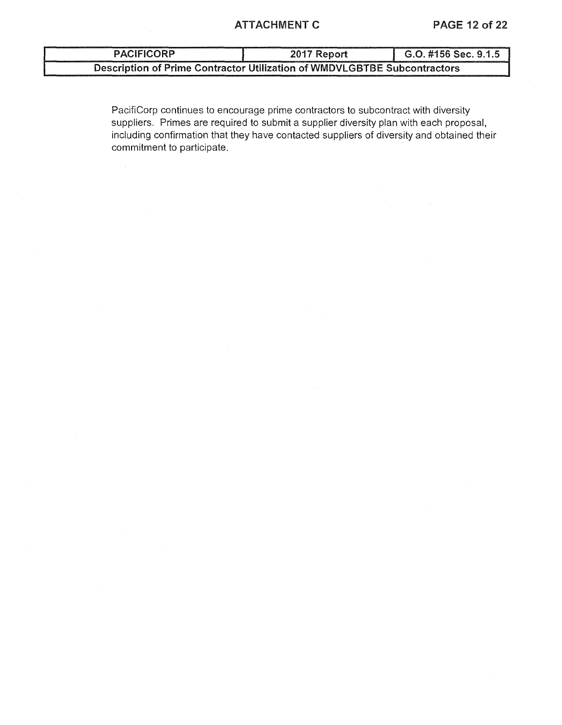# ATTACHMENT C PAGE 12 of 22

| <b>PACIFICORP</b>                                                        | 2017 Report | G.O. #156 Sec. 9.1.5 |  |  |  |
|--------------------------------------------------------------------------|-------------|----------------------|--|--|--|
| Description of Prime Contractor Utilization of WMDVLGBTBE Subcontractors |             |                      |  |  |  |

PacifiCorp continues to encourage prime contractors to subcontract with diversity suppliers. Primes are required to submit a supplier diversity plan with each proposal, including confirmation that they have contacted suppliers of diversity and obtained their commitment to participate.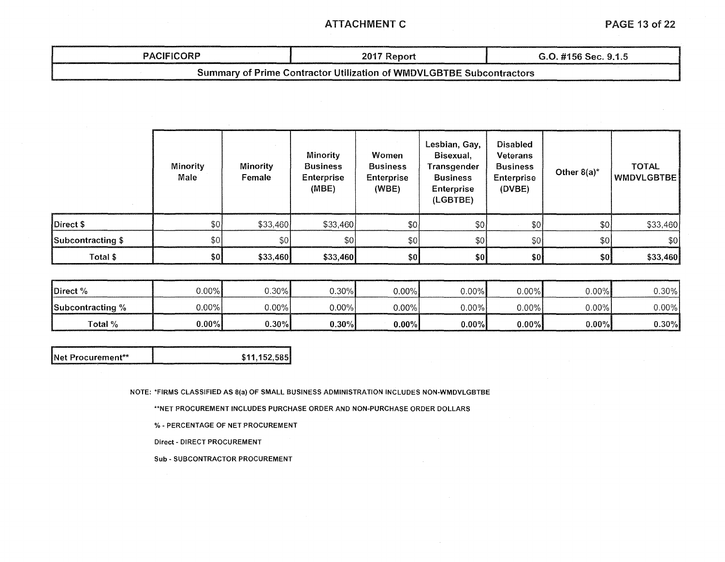# ATTACHMENT C PAGE 13 of 22

# PACIFICORP 1 2017 Report 1 G.O. #156 Sec. 9.1.5 Summary of Prime Contractor Utilization of WMDVLGBTBE Subcontractors

|                   | Minority<br><b>Minority</b><br>Male<br>Female |               | Minority<br><b>Business</b><br>Enterprise<br>(MBE) | Women<br><b>Business</b><br><b>Enterprise</b><br>(WBE) | Lesbian, Gay,<br>Bisexual,<br>Transgender<br><b>Business</b><br><b>Enterprise</b><br>(LGBTBE) | <b>Disabled</b><br><b>Veterans</b><br><b>Business</b><br><b>Enterprise</b><br>(DVBE) | Other $8(a)^*$ | <b>TOTAL</b><br>WMDVLGBTBE |
|-------------------|-----------------------------------------------|---------------|----------------------------------------------------|--------------------------------------------------------|-----------------------------------------------------------------------------------------------|--------------------------------------------------------------------------------------|----------------|----------------------------|
| Direct \$         | \$0]                                          | \$33,460      | \$33,460                                           | \$0]                                                   | $\frac{1}{2}$                                                                                 | 50                                                                                   | \$0            | \$33,460                   |
| Subcontracting \$ | \$0]                                          | $\frac{1}{2}$ | \$0]                                               | 50                                                     | \$0                                                                                           | \$0                                                                                  | \$0            | \$0]                       |
| Total \$          | \$0]                                          | \$33,460      | \$33,460]                                          | \$٥                                                    | \$0                                                                                           | \$0]                                                                                 | \$0            | \$33,460                   |

| Direct %         | $0.00\%$ | $0.30\%$ | 0.30%    | $0.00\%$ | $0.00\%$ | ა.oo%I   | 0.00%    | ე.30%    |
|------------------|----------|----------|----------|----------|----------|----------|----------|----------|
| Subcontracting % | $0.00\%$ | $0.00\%$ | $0.00\%$ | $0.00\%$ | $0.00\%$ | 0.00%    | 0.00%    | $0.00\%$ |
| Total %          | $0.00\%$ | $0.30\%$ | $0.30\%$ | $0.00\%$ | $0.00\%$ | $0.00\%$ | $0.00\%$ | $0.30\%$ |

| <b>INet Procurement**</b> | \$11,152,585 |
|---------------------------|--------------|
|                           |              |

NOTE: \*FIRMS CLASSIFIED AS 8(a) OF SMALL BUSINESS ADMINISTRATION INCLUDES NON-WMDVLGBTBE

\*\*NET PROCUREMENT INCLUDES PURCHASE ORDER AND NON-PURCHASE ORDER DOLLARS

%- PERCENTAGE OF NET PROCUREMENT

Direct - DIRECT PROCUREMENT

Sub-SUBCONTRACTOR PROCUREMENT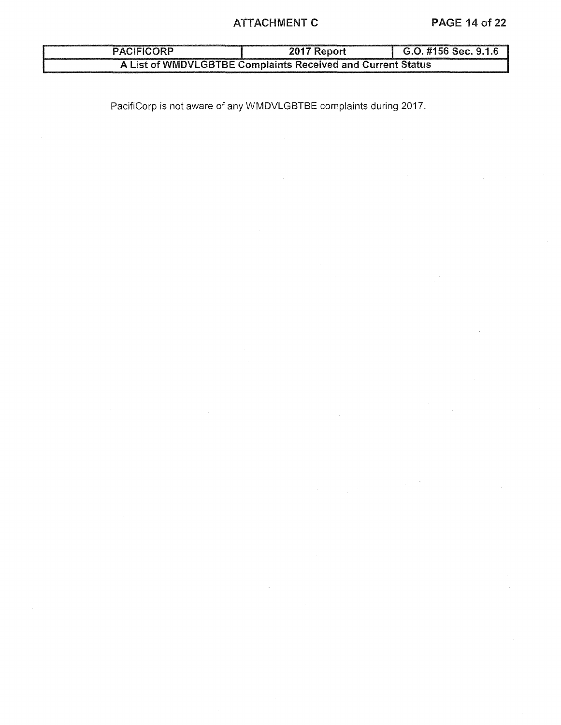# ATTACHMENT C PAGE 14 of 22

# PACIFICORP 2017 Report G.O. #156 Sec. 9.1.6 A List of WMDVLGBTBE Complaints Received and Current Status

PacifiCorp is not aware of any WMDVLGBTBE complaints during 2017.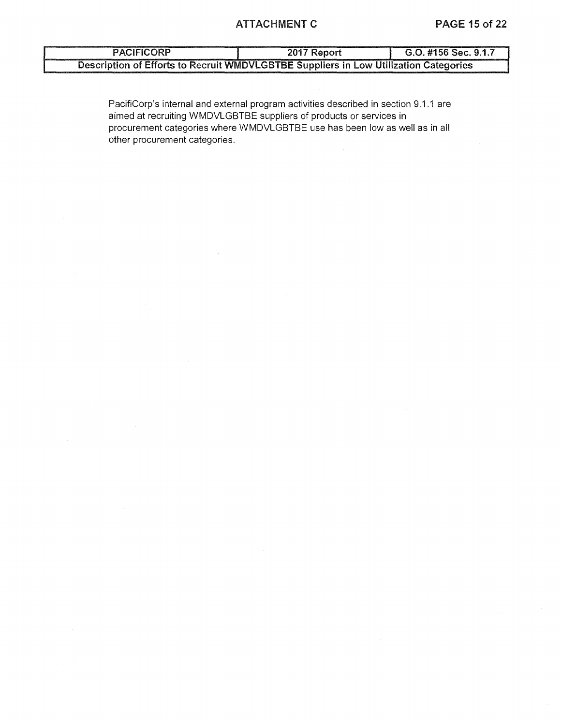# PACIFICORP 2017 Report G.O. #156 Sec. 9.1.7 Description of Efforts to Recruit WMDVLGBTBE Suppliers in low Utilization Categories

PacifiCorp's internal and external program activities described in section 9.1.1 are aimed at recruiting WMDVLGBTBE suppliers of products or services in procurement categories where WMDVLGBTBE use has been low as well as in all other procurement categories.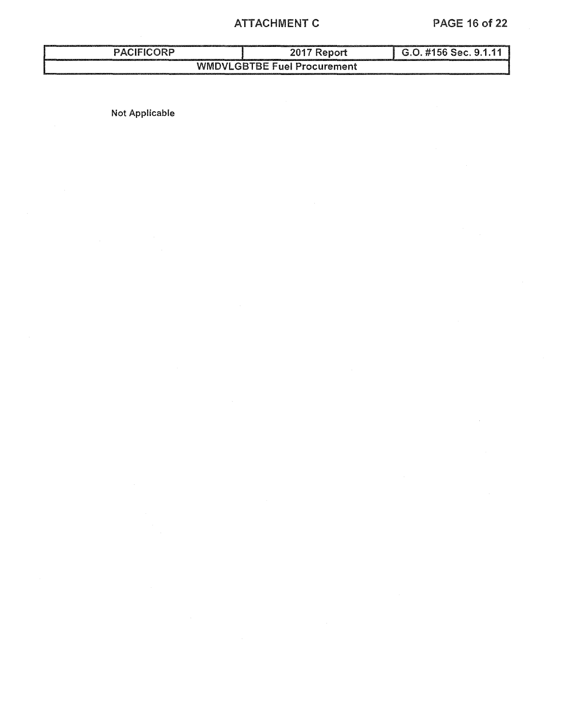# ATTACHMENT C PAGE 16 of 22

# PACIFICORP 2017 Report G.O. #156 Sec. 9.1.11 WMDVLGBTBE Fuel Procurement

Not Applicable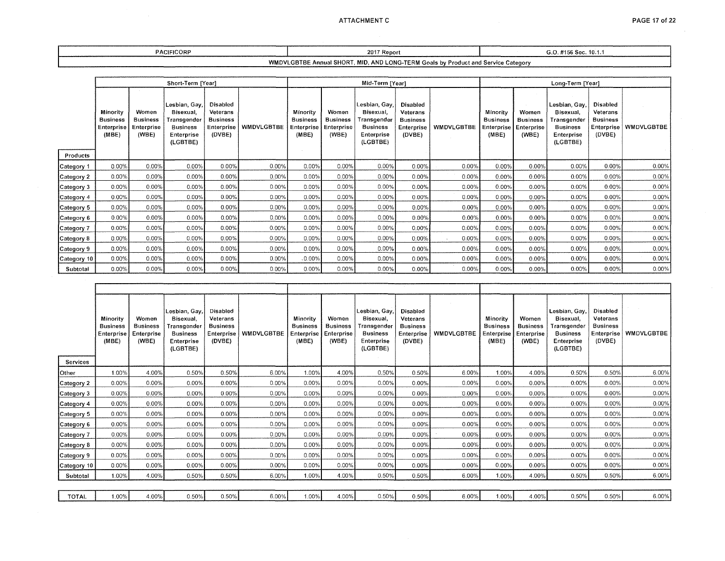$\sim$ 

| <b>PACIFICORP</b> | 2017 Report                                                                                                |  | $G.0.4156$ Sec.<br>$\approx$ 10.1. |  |  |  |  |  |  |  |
|-------------------|------------------------------------------------------------------------------------------------------------|--|------------------------------------|--|--|--|--|--|--|--|
|                   | MID. AND '<br>WMDVLGBTBE<br>c Annual SHORT<br>∠LONG-TERM ′<br>. Service Category<br>l Goals by Product and |  |                                    |  |  |  |  |  |  |  |

|             |                                                    |                                                 | Short-Term [Year]                                                                      |                                                                 |            | Mid-Term [Year]                                    |                                                 |                                                                                        |                                                                 |                   |                                                    | Long-Term [Year]                                |                                                                                               |                                                                        |            |
|-------------|----------------------------------------------------|-------------------------------------------------|----------------------------------------------------------------------------------------|-----------------------------------------------------------------|------------|----------------------------------------------------|-------------------------------------------------|----------------------------------------------------------------------------------------|-----------------------------------------------------------------|-------------------|----------------------------------------------------|-------------------------------------------------|-----------------------------------------------------------------------------------------------|------------------------------------------------------------------------|------------|
|             | Minority<br><b>Business</b><br>Enterprise<br>(MBE) | Women<br><b>Business</b><br>Enterprise<br>(WBE) | Lesbian, Gay,<br>Bisexual,<br>Transgender<br><b>Business</b><br>Enterprise<br>(LGBTBE) | Disabled<br>Veterans<br><b>Business</b><br>Enterprise<br>(DVBE) | WMDVLGBTBE | Minority<br><b>Business</b><br>Enterprise<br>(MBE) | Women<br><b>Business</b><br>Enterprise<br>(WBE) | Lesbian, Gay,<br>Bisexual,<br>Transgender<br><b>Business</b><br>Enterprise<br>(LGBTBE) | Disabled<br>Veterans<br><b>Business</b><br>Enterprise<br>(DVBE) | <b>WMDVLGBTBE</b> | Minority<br><b>Business</b><br>Enterprise<br>(MBE) | Women<br><b>Business</b><br>Enterprise<br>(WBE) | Lesbian, Gay,<br>Bisexual.<br>Transgender<br><b>Business</b><br><b>Enterprise</b><br>(LGBTBE) | <b>Disabled</b><br>Veterans<br><b>Business</b><br>Enterprise<br>(DVBE) | WMDVLGBTBE |
| Products    |                                                    |                                                 |                                                                                        |                                                                 |            |                                                    |                                                 |                                                                                        |                                                                 |                   |                                                    |                                                 |                                                                                               |                                                                        |            |
| Category 1  | 0.00%                                              | $0.00\%$                                        | 0.00%                                                                                  | $0.00\%$                                                        | 0.00%      | 0.00%                                              | 0.00%                                           | 0.00%                                                                                  | 0.00%                                                           | 0.00%             | $0.00\%$                                           | 0.00%                                           | $0.00\%$                                                                                      | 0.00%                                                                  | 0.00%      |
| Category 2  | 0.00%                                              | 0.00%                                           | 0.00%                                                                                  | $0.00\%$                                                        | $0.00\%$   | 0.00%                                              | 0.00%                                           | 0.00%                                                                                  | 0.00%                                                           | 0.00%             | 0.00%                                              | 0.00%                                           | 0.00%                                                                                         | $0.00\%$                                                               | 0.00%      |
| Category 3  | 0.00%                                              | 0.00%                                           | 0.00%                                                                                  | $0.00\%$                                                        | 0.00%      | $0.00\%$                                           | 0.00%                                           | 0.00%                                                                                  | 0.00%                                                           | 0.00%             | 0.00%                                              | 0.00%                                           | 0.00%                                                                                         | 0.00%                                                                  | 0.00%      |
| Category 4  | $0.00\%$                                           | 0.00%                                           | $0.00\%$                                                                               | 0.00%                                                           | 0.00%      | 0.00%                                              | 0.00%                                           | 0.00%                                                                                  | 0.00%                                                           | 0.00%             | 0.00%                                              | 0.00%                                           | 0.00%                                                                                         | $0.00\%$                                                               | 0.00%      |
| Category 5  | 0.00%                                              | 0.00%                                           | 0.00%                                                                                  | $0.00\%$                                                        | $0.00\%$   | $0.00\%$                                           | $0.00\%$                                        | 0.00%                                                                                  | 0.00%                                                           | 0.00%             | 0.00%                                              | 0.00%                                           | 0.00%                                                                                         | 0.00%                                                                  | 0.00%      |
| Category 6  | 0.00%                                              | 0.00%                                           | 0.00%                                                                                  | $0.00\%$                                                        | $0.00\%$   | 0.00%                                              | 0.00%                                           | 0.00%                                                                                  | 0.00%                                                           | 0.00%             | 0.00%                                              | 0.00%                                           | $0.00\%$                                                                                      | $0.00\%$                                                               | 0.00%      |
| Category 7  | 0.00%                                              | 0.00%                                           | 0.00%                                                                                  | $0.00\%$                                                        | $0.00\%$   | $0.00\%$                                           | 0.00%                                           | 0.00%                                                                                  | $0.00\%$                                                        | $0.00\%$          | 0.00%                                              | 0.00%                                           | 0.00%                                                                                         | $0.00\%$                                                               | 0.00%      |
| Category 8  | 0.00%                                              | $0.00\%$                                        | 0.00%                                                                                  | 0.00%                                                           | 0.00%      | $0.00\%$                                           | 0.00%                                           | 0.00%                                                                                  | 0.00%                                                           | $0.00\%$          | 0.00%                                              | 0.00%                                           | 0.00%                                                                                         | 0.00%                                                                  | 0.00%      |
| Category 9  | 0.00%                                              | 0.00%                                           | $0.00\%$                                                                               | $0.00\%$                                                        | $0.00\%$   | 0.00%                                              | 0.00%                                           | $0.00\%$                                                                               | 0.00%                                                           | 0.00%             | 0.00%                                              | 0.00%                                           | 0.00%                                                                                         | 0.00%                                                                  | 0.00%      |
| Category 10 | 0.00%                                              | 0.00%                                           | 0.00%                                                                                  | $0.00\%$                                                        | $0.00\%$   | $.0.00\%$                                          | 0.00%                                           | $0.00\%$                                                                               | 0.00%                                                           | 0.00%             | 0.00%                                              | 0.00%                                           | 0.00%                                                                                         | 0.00%                                                                  | 0.00%      |
| Subtotal    | $0.00\%$                                           | $0.00\%$                                        | $0.00\%$                                                                               | $0.00\%$                                                        | 0.00%      | 0.00%                                              | $0.00\%$                                        | 0.00%                                                                                  | $0.00\%$                                                        | 0.00%             | $0.00\%$                                           | 0.00%                                           | $0.00\%$                                                                                      | $0.00\%$                                                               | 0.00%      |

| Services     | Minority<br><b>Business</b><br>Enterprise<br>(MBE) | Women<br><b>Business</b><br>Enterprise<br>(WBE) | Lesbian, Gay,<br>Bisexual,<br>Transgender<br><b>Business</b><br>Enterprise<br>(LGBTBE) | Disabled<br>Veterans<br><b>Business</b><br>Enterprise<br>(DVBE) | <b>WMDVLGBTBE</b> | Minority<br><b>Business</b><br>Enterprise<br>(MBE) | Women<br><b>Business</b><br>Enterprise<br>(WBE) | Lesbian, Gay,<br>Bisexual,<br>Transgender<br>Business<br>Enterprise<br>(LGBTBE) | <b>Disabled</b><br>Veterans<br><b>Business</b><br>Enterprise<br>(DVBE) | WMDVLGBTBE | Minority<br><b>Business</b><br>Enterprise<br>(MBE) | Women<br><b>Business</b><br>Enterprise<br>(WBE) | Lesbian, Gay,<br>Bisexual,<br>Transgender<br><b>Business</b><br>Enterprise<br>(LGBTBE) | Disabled<br>Veterans<br><b>Business</b><br>Enterprise<br>(DVBE) | <b>WMDVLGBTBE</b> |
|--------------|----------------------------------------------------|-------------------------------------------------|----------------------------------------------------------------------------------------|-----------------------------------------------------------------|-------------------|----------------------------------------------------|-------------------------------------------------|---------------------------------------------------------------------------------|------------------------------------------------------------------------|------------|----------------------------------------------------|-------------------------------------------------|----------------------------------------------------------------------------------------|-----------------------------------------------------------------|-------------------|
| Other        | 1.00%                                              | 4.00%                                           | 0.50%                                                                                  | 0.50%                                                           | 6.00%             | 1.00%                                              | 4.00%                                           | 0.50%                                                                           | 0.50%                                                                  | 6.00%      | 1.00%                                              | 4.00%                                           | 0.50%                                                                                  | 0.50%                                                           | 6.00%             |
| Category 2   | $0.00\%$                                           | 0.00%                                           | $0.00\%$                                                                               | 0.00%                                                           | 0.00%             | 0.00%                                              | 0.00%                                           | 0.00%                                                                           | 0.00%                                                                  | 0.00%      | 0.00%                                              | 0.00%                                           | 0.00%                                                                                  | 0.00%                                                           | 0.00%             |
| Category 3   | $0.00\%$                                           | 0.00%                                           | 0.00%                                                                                  | 0.00%                                                           | 0.00%             | $0.00\%$                                           | 0.00%                                           | 0.00%                                                                           | 0.00%                                                                  | $0.00\%$   | $0.00\%$                                           | 0.00%                                           | 0.00%                                                                                  | 0.00%                                                           | 0.00%             |
| Category 4   | 0.00%                                              | 0.00%                                           | 0.00%                                                                                  | 0.00%                                                           | 0.00%             | 0.00%                                              | 0.00%                                           | 0.00%                                                                           | 0.00%                                                                  | 0.00%      | 0.00%                                              | 0.00%                                           | 0.00%                                                                                  | 0.00%                                                           | 0.00%             |
| Category 5   | 0.00%                                              | $0.00\%$                                        | 0.00%                                                                                  | 0.00%                                                           | 0.00%             | 0.00%                                              | 0.00%                                           | 0.00%                                                                           | 0.00%                                                                  | 0.00%      | $0.00\%$                                           | 0.00%                                           | $0.00\%$                                                                               | 0.00%                                                           | 0.00%             |
| Category 6   | 0.00%                                              | $0.00\%$                                        | 0.00%                                                                                  | 0.00%                                                           | 0.00%             | 0.00%                                              | 0.00%                                           | 0.00%                                                                           | 0.00%                                                                  | 0.00%      | 0.00%                                              | 0.00%                                           | 0.00%                                                                                  | 0.00%                                                           | 0.00%             |
| Category 7   | 0.00%                                              | $0.00\%$                                        | 0.00%                                                                                  | 0.00%                                                           | 0.00%             | 0.00%                                              | 0.00%                                           | 0.00%                                                                           | 0.00%                                                                  | 0.00%      | 0.00%                                              | 0.00%                                           | 0.00%                                                                                  | 0.00%                                                           | 0.00%             |
| Category 8   | 0.00%                                              | $0.00\%$                                        | 0.00%                                                                                  | 0.00%                                                           | 0.00%             | 0.00%                                              | 0.00%                                           | 0.00%                                                                           | 0.00%                                                                  | 0.00%      | 0.00%                                              | 0.00%                                           | $0.00\%$                                                                               | 0.00%                                                           | 0.00%             |
| Category 9   | 0.00%                                              | 0.00%                                           | 0.00%                                                                                  | 0.00%                                                           | 0.00%             | 0.00%                                              | 0.00%                                           | 0.00%                                                                           | 0.00%                                                                  | 0.00%      | 0.00%                                              | 0.00%                                           | 0.00%                                                                                  | 0.00%                                                           | 0.00%             |
| Category 10  | 0.00%                                              | 0.00%                                           | $0.00\%$                                                                               | $0.00\%$                                                        | $0.00\%$          | 0.00%                                              | 0.00%                                           | 0.00%                                                                           | 0.00%                                                                  | 0.00%      | 0.00%                                              | 0.00%                                           | 0.00%                                                                                  | $0.00\%$                                                        | 0.00%             |
| Subtotal     | 1.00%                                              | 4.00%                                           | 0.50%                                                                                  | 0.50%                                                           | 6.00%             | 1.00%                                              | 4.00%                                           | 0.50%                                                                           | 0.50%                                                                  | 6.00%      | 1.00%                                              | 4.00%                                           | 0.50%                                                                                  | 0.50%                                                           | 6.00%             |
|              |                                                    |                                                 |                                                                                        |                                                                 |                   |                                                    |                                                 |                                                                                 |                                                                        |            |                                                    |                                                 |                                                                                        |                                                                 |                   |
| <b>TOTAL</b> | 1.00%                                              | 4.00%                                           | 0.50%                                                                                  | 0.50%                                                           | 6.00%             | 1.00%                                              | 4.00%                                           | 0.50%                                                                           | 0.50%                                                                  | 6.00%      | 1.00%                                              | 4.00%                                           | 0.50%                                                                                  | 0.50%                                                           | $6.00\%$          |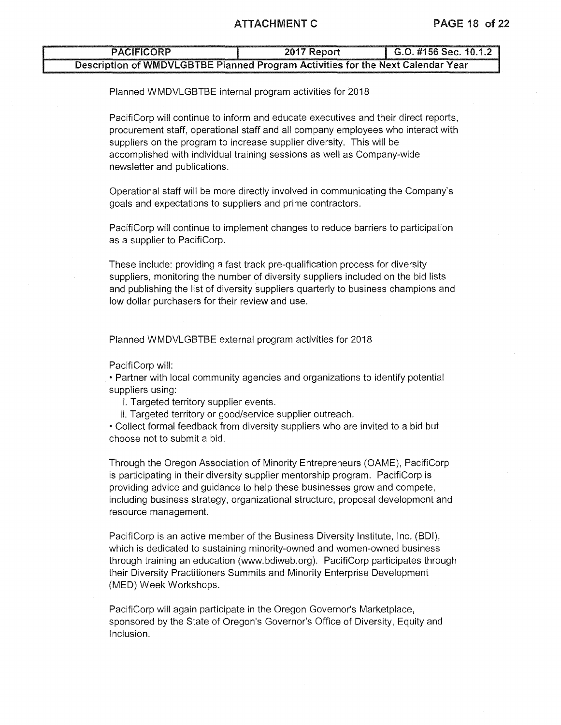### ATTACHMENT C PAGE 18 of 22

| <b>PACIFICORP</b>                                                               | 2017 Report | $\mid$ G.O. #156 Sec. 10.1.2 |
|---------------------------------------------------------------------------------|-------------|------------------------------|
| Description of WMDVLGBTBE Planned Program Activities for the Next Calendar Year |             |                              |

Planned WMDVLGBTBE internal program activities for 2018

PacifiCorp will continue to inform and educate executives and their direct reports, procurement staff, operational staff and all company employees who interact with suppliers on the program to increase supplier diversity. This will be accomplished with individual training sessions as well as Company-wide newsletter and publications.

Operational staff will be more directly involved in communicating the Company's goals and expectations to suppliers and prime contractors.

PacifiCorp will continue to implement changes to reduce barriers to participation as a supplier to PacifiCorp.

These include: providing a fast track pre-qualification process for diversity suppliers, monitoring the number of diversity suppliers included on the bid lists and publishing the list of diversity suppliers quarterly to business champions and low dollar purchasers for their review and use.

Planned WMDVLGBTBE external program activities for 2018

PacifiCorp will:

• Partner with local community agencies and organizations to identify potential suppliers using:

i. Targeted territory supplier events.

ii. Targeted territory or good/service supplier outreach.

• Collect formal feedback from diversity suppliers who are invited to a bid but choose not to submit a bid.

Through the Oregon Association of Minority Entrepreneurs (OAME), PacifiCorp is participating in their diversity supplier mentorship program. PacifiCorp is providing advice and guidance to help these businesses grow and compete, including business strategy, organizational structure, proposal development and resource management.

PacifiCorp is an active member of the Business Diversity Institute, Inc. (BDI), which is dedicated to sustaining minority-owned and women-owned business through training an education (www.bdiweb.org). PacifiCorp participates through their Diversity Practitioners Summits and Minority Enterprise Development (MED) Week Workshops.

PacifiCorp will again participate in the Oregon Governor's Marketplace, sponsored by the State of Oregon's Governor's Office of Diversity, Equity and Inclusion.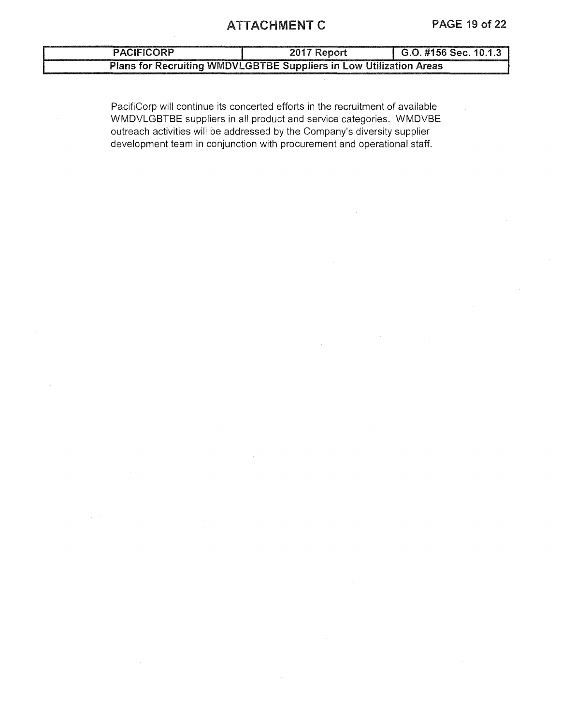# ATTACHMENT C PAGE 19 of 22

| <b>PACIFICORP</b> | 2017 Report                                                        | $\mid$ G.O. #156 Sec. 10.1.3 |  |  |
|-------------------|--------------------------------------------------------------------|------------------------------|--|--|
|                   | Plans for Recruiting WMDVLGBTBE Suppliers in Low Utilization Areas |                              |  |  |

PacifiCorp will continue its concerted efforts in the recruitment of available WMDVLGBTBE suppliers in all product and service categories. WMDVBE outreach activities will be addressed by the Company's diversity supplier development team in conjunction with procurement and operational staff.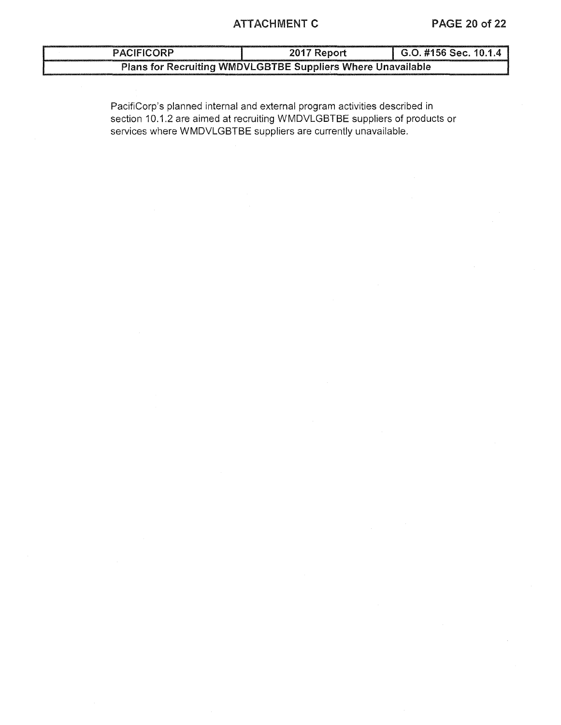# ATTACHMENT C PAGE 20 of 22

| <b>PACIFICORP</b>                                           | 2017 Report | $\mid$ G.O. #156 Sec. 10.1.4 |  |  |  |  |  |
|-------------------------------------------------------------|-------------|------------------------------|--|--|--|--|--|
| Plans for Recruiting WMDVLGBTBE Suppliers Where Unavailable |             |                              |  |  |  |  |  |

PacifiCorp's planned internal and external program activities described in section 10.1.2 are aimed at recruiting WMDVLGBTBE suppliers of products or services where WMDVLGBTBE suppliers are currently unavailable.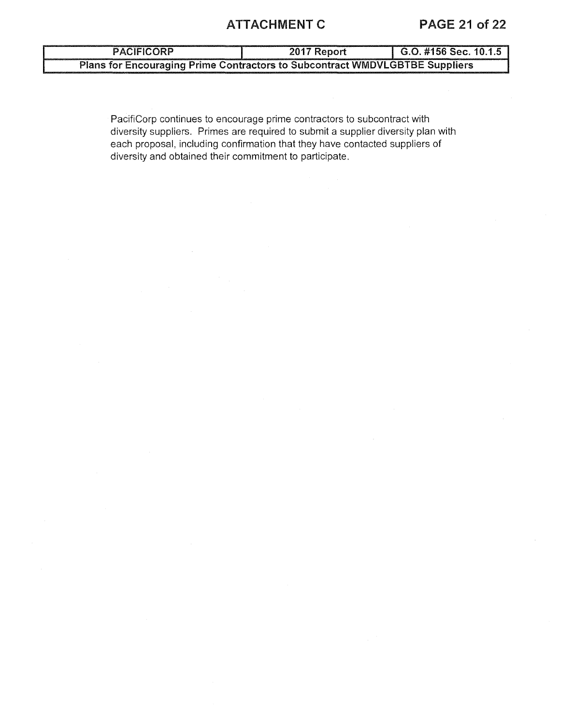# ATTACHMENT C PAGE 21 of 22

PACIFICORP 2017 Report G.O. #156 Sec. 10.1.5 Plans for Encouraging Prime Contractors to Subcontract WMDVLGBTBE Suppliers

PacifiCorp continues to encourage prime contractors to subcontract with diversity suppliers. Primes are required to submit a supplier diversity plan with each proposal, including confirmation that they have contacted suppliers of diversity and obtained their commitment to participate.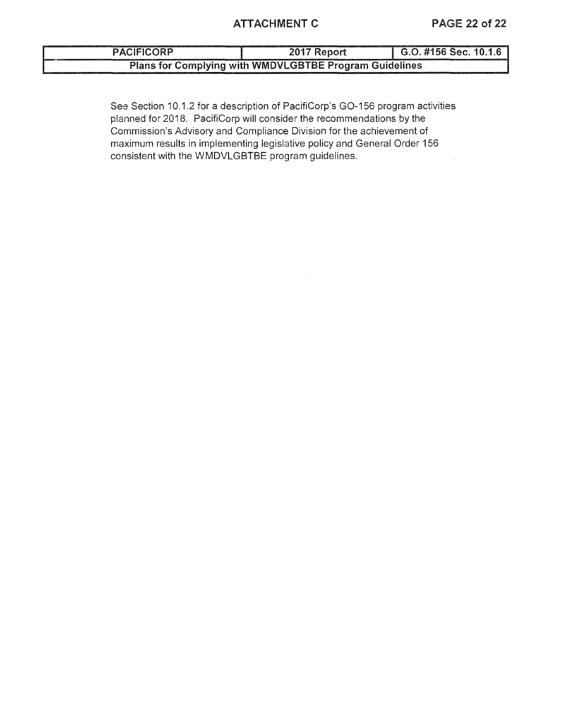### ATTACHMENT C PAGE 22 of 22

| <b>PACIFICORP</b>                                      | 2017 Report | G.O. #156 Sec. 10.1.6 |  |  |  |  |  |
|--------------------------------------------------------|-------------|-----------------------|--|--|--|--|--|
| Plans for Complying with WMDVLGBTBE Program Guidelines |             |                       |  |  |  |  |  |

See Section 10.1.2 for a description of PacifiCorp's G0-156 program activities planned for 2018. PacifiCorp will consider the recommendations by the Commission's Advisory and Compliance Division for the achievement of maximum results in implementing legislative policy and General Order 156 consistent with the WMDVLGBTBE program guidelines.